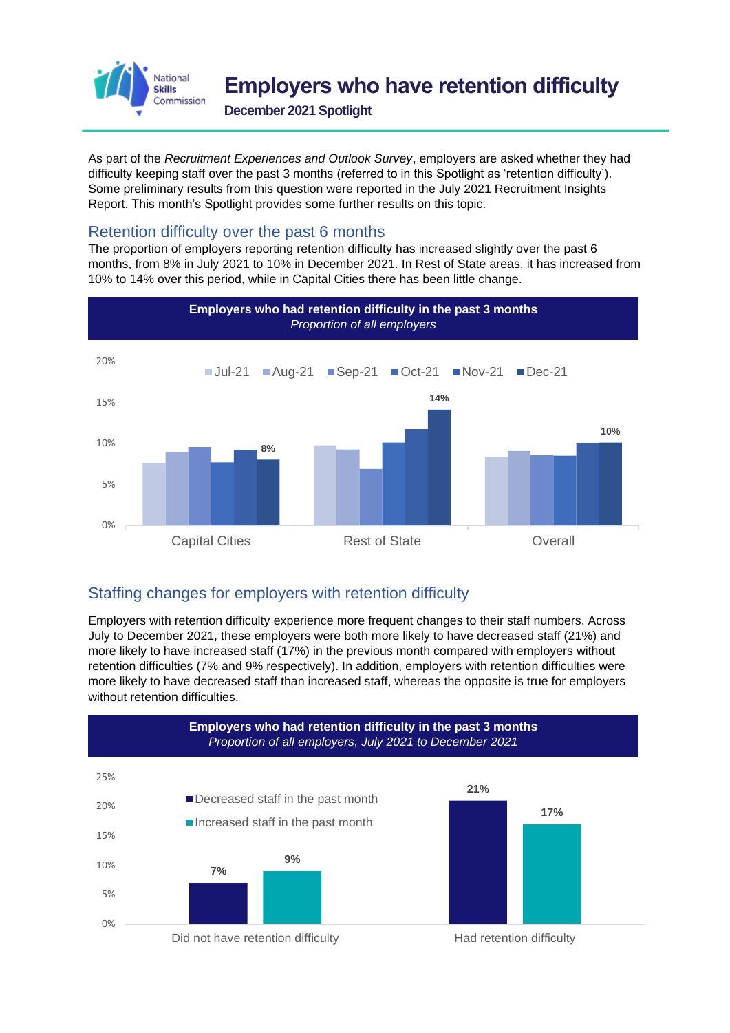

**December 2021 Spotlight**

As part of the *Recruitment Experiences and Outlook Survey*, employers are asked whether they had difficulty keeping staff over the past 3 months (referred to in this Spotlight as 'retention difficulty'). Some preliminary results from this question were reported in the July 2021 Recruitment Insights Report. This month's Spotlight provides some further results on this topic.

## Retention difficulty over the past 6 months

The proportion of employers reporting retention difficulty has increased slightly over the past 6 months, from 8% in July 2021 to 10% in December 2021. In Rest of State areas, it has increased from 10% to 14% over this period, while in Capital Cities there has been little change.



## Staffing changes for employers with retention difficulty

Employers with retention difficulty experience more frequent changes to their staff numbers. Across July to December 2021, these employers were both more likely to have decreased staff (21%) and more likely to have increased staff (17%) in the previous month compared with employers without retention difficulties (7% and 9% respectively). In addition, employers with retention difficulties were more likely to have decreased staff than increased staff, whereas the opposite is true for employers without retention difficulties.

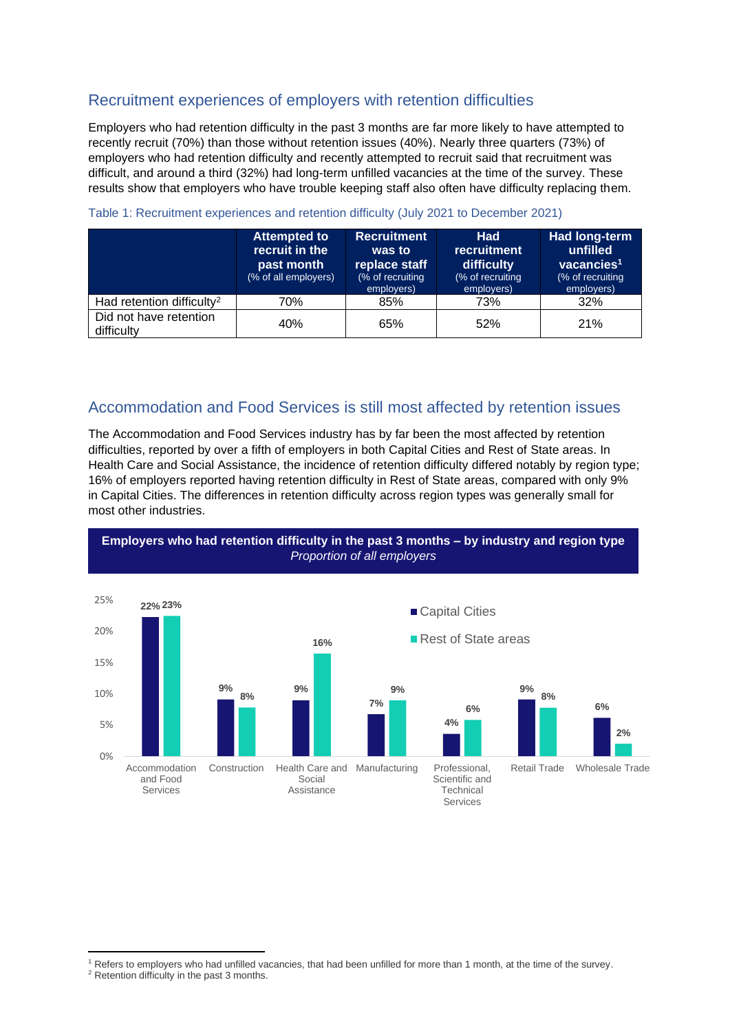## Recruitment experiences of employers with retention difficulties

Employers who had retention difficulty in the past 3 months are far more likely to have attempted to recently recruit (70%) than those without retention issues (40%). Nearly three quarters (73%) of employers who had retention difficulty and recently attempted to recruit said that recruitment was difficult, and around a third (32%) had long-term unfilled vacancies at the time of the survey. These results show that employers who have trouble keeping staff also often have difficulty replacing them.

|                                       | <b>Attempted to</b><br>recruit in the<br>past month<br>(% of all employers) | <b>Recruitment</b><br>was to<br>replace staff<br>(% of recruiting<br>employers) | <b>Had</b><br><b>recruitment</b><br><b>difficulty</b><br>(% of recruiting<br>employers) | Had long-term<br>unfilled<br>vacancies <sup>1</sup><br>(% of recruiting<br>employers) |
|---------------------------------------|-----------------------------------------------------------------------------|---------------------------------------------------------------------------------|-----------------------------------------------------------------------------------------|---------------------------------------------------------------------------------------|
| Had retention difficulty <sup>2</sup> | 70%                                                                         | 85%                                                                             | 73%                                                                                     | 32%                                                                                   |
| Did not have retention<br>difficulty  | 40%                                                                         | 65%                                                                             | 52%                                                                                     | 21%                                                                                   |

#### Table 1: Recruitment experiences and retention difficulty (July 2021 to December 2021)

### Accommodation and Food Services is still most affected by retention issues

The Accommodation and Food Services industry has by far been the most affected by retention difficulties, reported by over a fifth of employers in both Capital Cities and Rest of State areas. In Health Care and Social Assistance, the incidence of retention difficulty differed notably by region type; 16% of employers reported having retention difficulty in Rest of State areas, compared with only 9% in Capital Cities. The differences in retention difficulty across region types was generally small for most other industries.





<sup>1</sup> Refers to employers who had unfilled vacancies, that had been unfilled for more than 1 month, at the time of the survey.

<sup>&</sup>lt;sup>2</sup> Retention difficulty in the past 3 months.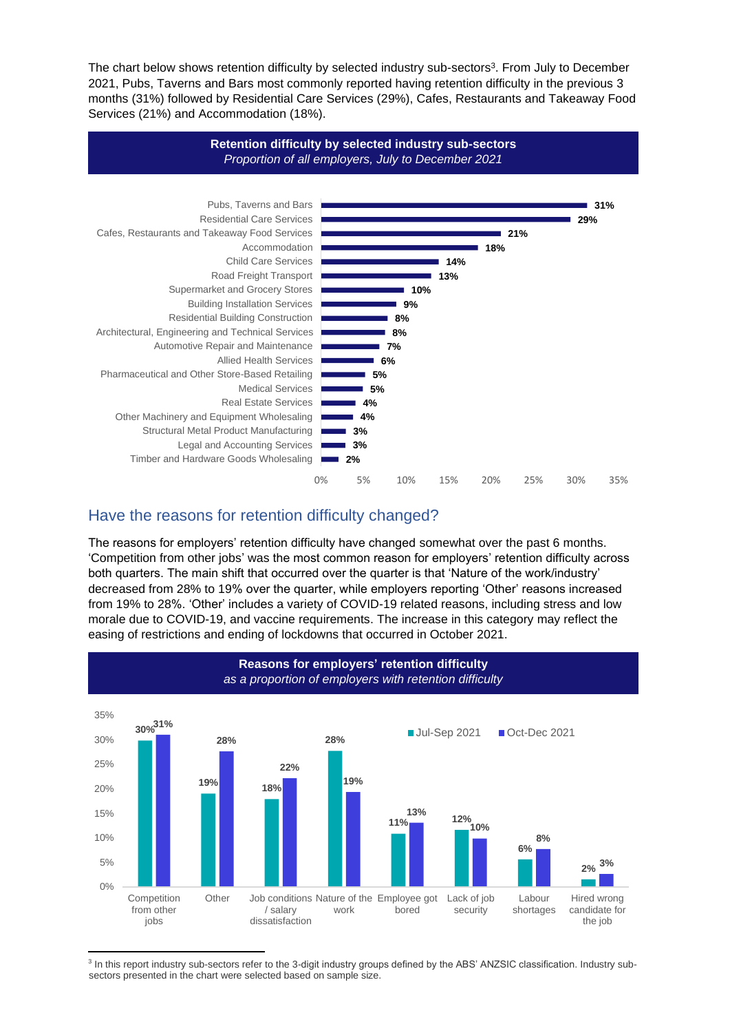The chart below shows retention difficulty by selected industry sub-sectors<sup>3</sup>. From July to December 2021, Pubs, Taverns and Bars most commonly reported having retention difficulty in the previous 3 months (31%) followed by Residential Care Services (29%), Cafes, Restaurants and Takeaway Food Services (21%) and Accommodation (18%).



## Have the reasons for retention difficulty changed?

The reasons for employers' retention difficulty have changed somewhat over the past 6 months. 'Competition from other jobs' was the most common reason for employers' retention difficulty across both quarters. The main shift that occurred over the quarter is that 'Nature of the work/industry' decreased from 28% to 19% over the quarter, while employers reporting 'Other' reasons increased from 19% to 28%. 'Other' includes a variety of COVID-19 related reasons, including stress and low morale due to COVID-19, and vaccine requirements. The increase in this category may reflect the easing of restrictions and ending of lockdowns that occurred in October 2021.



<sup>3</sup> In this report industry sub-sectors refer to the 3-digit industry groups defined by the ABS' ANZSIC classification. Industry subsectors presented in the chart were selected based on sample size.